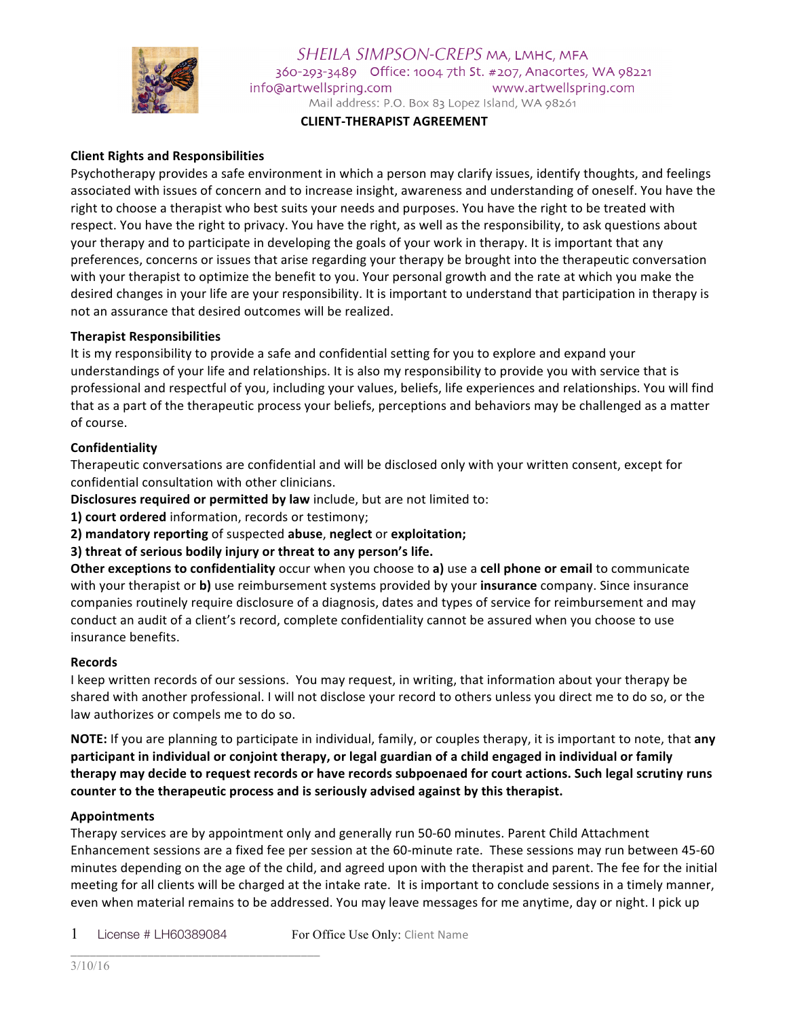

SHEILA SIMPSON-CREPS MA, LMHC, MFA 360-293-3489 Office: 1004 7th St. #207, Anacortes, WA 98221 info@artwellspring.com www.artwellspring.com Mail address: P.O. Box 83 Lopez Island, WA 98261

**CLIENT-THERAPIST AGREEMENT**

# **Client Rights and Responsibilities**

Psychotherapy provides a safe environment in which a person may clarify issues, identify thoughts, and feelings associated with issues of concern and to increase insight, awareness and understanding of oneself. You have the right to choose a therapist who best suits your needs and purposes. You have the right to be treated with respect. You have the right to privacy. You have the right, as well as the responsibility, to ask questions about your therapy and to participate in developing the goals of your work in therapy. It is important that any preferences, concerns or issues that arise regarding your therapy be brought into the therapeutic conversation with your therapist to optimize the benefit to you. Your personal growth and the rate at which you make the desired changes in your life are your responsibility. It is important to understand that participation in therapy is not an assurance that desired outcomes will be realized.

### **Therapist Responsibilities**

It is my responsibility to provide a safe and confidential setting for you to explore and expand your understandings of your life and relationships. It is also my responsibility to provide you with service that is professional and respectful of you, including your values, beliefs, life experiences and relationships. You will find that as a part of the therapeutic process your beliefs, perceptions and behaviors may be challenged as a matter of course.

#### **Confidentiality**

Therapeutic conversations are confidential and will be disclosed only with your written consent, except for confidential consultation with other clinicians.

**Disclosures required or permitted by law** include, but are not limited to:

**1) court ordered** information, records or testimony;

**2)** mandatory reporting of suspected abuse, neglect or exploitation;

**3)** threat of serious bodily injury or threat to any person's life.

**Other exceptions to confidentiality** occur when you choose to a) use a cell phone or email to communicate with your therapist or **b**) use reimbursement systems provided by your **insurance** company. Since insurance companies routinely require disclosure of a diagnosis, dates and types of service for reimbursement and may conduct an audit of a client's record, complete confidentiality cannot be assured when you choose to use insurance benefits.

#### **Records**

I keep written records of our sessions. You may request, in writing, that information about your therapy be shared with another professional. I will not disclose your record to others unless you direct me to do so, or the law authorizes or compels me to do so.

**NOTE:** If you are planning to participate in individual, family, or couples therapy, it is important to note, that any participant in individual or conjoint therapy, or legal guardian of a child engaged in individual or family therapy may decide to request records or have records subpoenaed for court actions. Such legal scrutiny runs counter to the therapeutic process and is seriously advised against by this therapist.

#### **Appointments**

Therapy services are by appointment only and generally run 50-60 minutes. Parent Child Attachment Enhancement sessions are a fixed fee per session at the 60-minute rate. These sessions may run between 45-60 minutes depending on the age of the child, and agreed upon with the therapist and parent. The fee for the initial meeting for all clients will be charged at the intake rate. It is important to conclude sessions in a timely manner, even when material remains to be addressed. You may leave messages for me anytime, day or night. I pick up

1 License # LH60389084 For Office Use Only: Client Name \_\_\_\_\_\_\_\_\_\_\_\_\_\_\_\_\_\_\_\_\_\_\_\_\_\_\_\_\_\_\_\_\_\_\_\_\_\_\_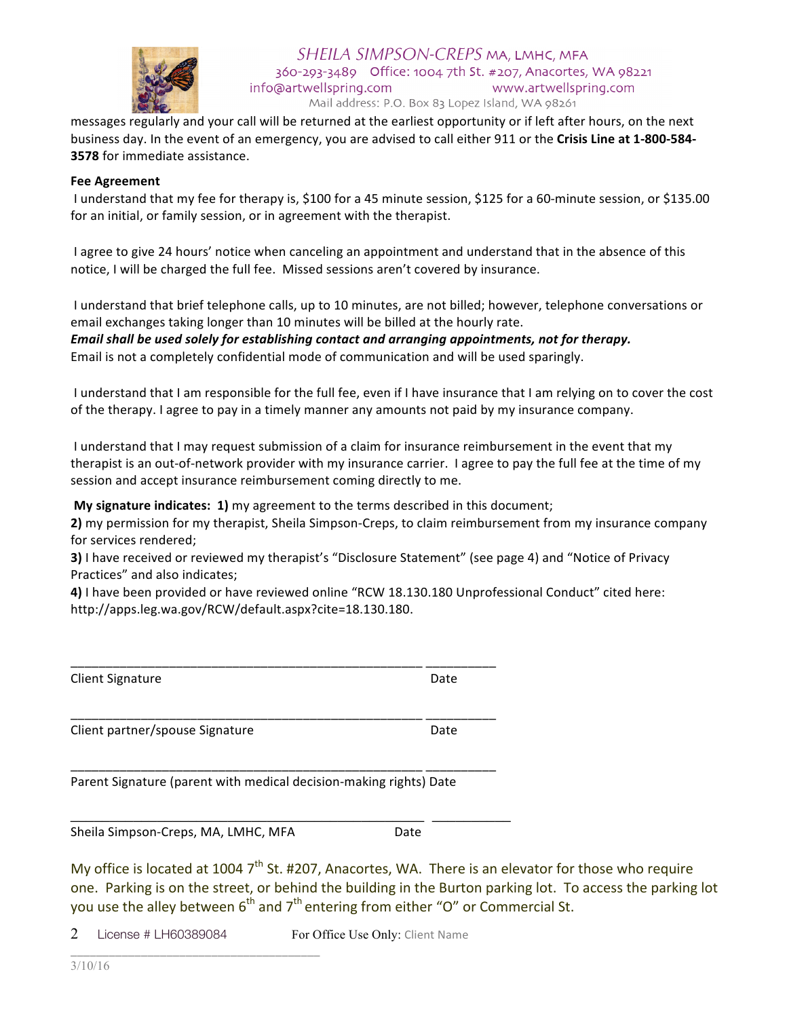

messages regularly and your call will be returned at the earliest opportunity or if left after hours, on the next business day. In the event of an emergency, you are advised to call either 911 or the Crisis Line at 1-800-584-**3578** for immediate assistance.

### **Fee Agreement**

I understand that my fee for therapy is, \$100 for a 45 minute session, \$125 for a 60-minute session, or \$135.00 for an initial, or family session, or in agreement with the therapist.

I agree to give 24 hours' notice when canceling an appointment and understand that in the absence of this notice, I will be charged the full fee. Missed sessions aren't covered by insurance.

I understand that brief telephone calls, up to 10 minutes, are not billed; however, telephone conversations or email exchanges taking longer than 10 minutes will be billed at the hourly rate.

*Email shall be used solely for establishing contact and arranging appointments, not for therapy.* Email is not a completely confidential mode of communication and will be used sparingly.

I understand that I am responsible for the full fee, even if I have insurance that I am relying on to cover the cost of the therapy. I agree to pay in a timely manner any amounts not paid by my insurance company.

I understand that I may request submission of a claim for insurance reimbursement in the event that my therapist is an out-of-network provider with my insurance carrier. I agree to pay the full fee at the time of my session and accept insurance reimbursement coming directly to me.

**My signature indicates: 1)** my agreement to the terms described in this document;

**2)** my permission for my therapist, Sheila Simpson-Creps, to claim reimbursement from my insurance company for services rendered:

**3)** I have received or reviewed my therapist's "Disclosure Statement" (see page 4) and "Notice of Privacy Practices" and also indicates:

4) I have been provided or have reviewed online "RCW 18.130.180 Unprofessional Conduct" cited here: http://apps.leg.wa.gov/RCW/default.aspx?cite=18.130.180. 

| <b>Client Signature</b>         | Date |
|---------------------------------|------|
| Client partner/spouse Signature | Date |

\_\_\_\_\_\_\_\_\_\_\_\_\_\_\_\_\_\_\_\_\_\_\_\_\_\_\_\_\_\_\_\_\_\_\_\_\_\_\_\_\_\_\_\_\_\_\_\_\_\_ \_\_\_\_\_\_\_\_\_\_ 

\_\_\_\_\_\_\_\_\_\_\_\_\_\_\_\_\_\_\_\_\_\_\_\_\_\_\_\_\_\_\_\_\_\_\_\_\_\_\_\_\_\_\_\_\_ \_\_\_\_\_\_\_\_\_\_

\_\_\_\_\_\_\_\_\_\_\_\_\_\_\_\_\_\_\_\_\_\_\_\_\_\_\_\_\_\_\_\_\_\_\_\_\_\_\_\_\_\_\_\_\_\_\_\_\_\_ \_\_\_\_\_\_\_\_\_\_ 

Parent Signature (parent with medical decision-making rights) Date

Sheila Simpson-Creps, MA, LMHC, MFA Date

\_\_\_\_\_\_\_\_\_\_\_\_\_\_\_\_\_\_\_\_\_\_\_\_\_\_\_\_\_\_\_\_\_\_\_\_\_\_\_

My office is located at 1004  $7<sup>th</sup>$  St. #207, Anacortes, WA. There is an elevator for those who require one. Parking is on the street, or behind the building in the Burton parking lot. To access the parking lot you use the alley between  $6<sup>th</sup>$  and  $7<sup>th</sup>$  entering from either "O" or Commercial St.

2 License # LH60389084 For Office Use Only: Client Name